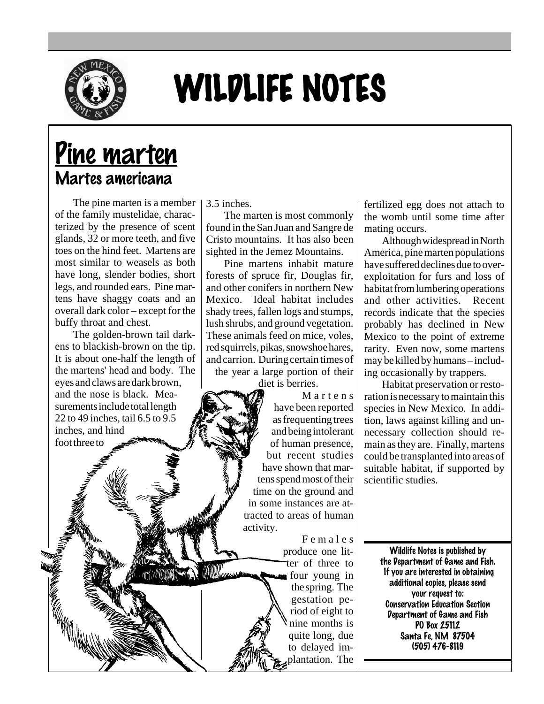

## WILDLIFE NOTES

## Pine marten Martes americana

The pine marten is a member of the family mustelidae, characterized by the presence of scent glands, 32 or more teeth, and five toes on the hind feet. Martens are most similar to weasels as both have long, slender bodies, short legs, and rounded ears. Pine martens have shaggy coats and an overall dark color – except for the buffy throat and chest.

The golden-brown tail darkens to blackish-brown on the tip. It is about one-half the length of the martens' head and body. The eyes and claws are dark brown, and the nose is black. Measurements include total length 22 to 49 inches, tail 6.5 to 9.5 inches, and hind foot three to

3.5 inches.

The marten is most commonly found in the San Juan and Sangre de Cristo mountains. It has also been sighted in the Jemez Mountains.

Pine martens inhabit mature forests of spruce fir, Douglas fir, and other conifers in northern New Mexico. Ideal habitat includes shady trees, fallen logs and stumps, lush shrubs, and ground vegetation. These animals feed on mice, voles, red squirrels, pikas, snowshoe hares, and carrion. During certain times of the year a large portion of their

diet is berries.

Martens have been reported as frequenting trees and being intolerant of human presence, but recent studies have shown that martens spend most of their time on the ground and in some instances are attracted to areas of human activity.

> Females produce one litter of three to four young in the spring. The gestation period of eight to nine months is quite long, due to delayed implantation. The

fertilized egg does not attach to the womb until some time after mating occurs.

Although widespread in North America, pine marten populations have suffered declines due to overexploitation for furs and loss of habitat from lumbering operations and other activities. Recent records indicate that the species probably has declined in New Mexico to the point of extreme rarity. Even now, some martens may be killed by humans – including occasionally by trappers.

Habitat preservation or restoration is necessary to maintain this species in New Mexico. In addition, laws against killing and unnecessary collection should remain as they are. Finally, martens could be transplanted into areas of suitable habitat, if supported by scientific studies.

> Wildlife Notes is published by the Department of Game and Fish. If you are interested in obtaining additional copies, please send your request to: Conservation Education Section Department of Game and Fish PO Box 25112 Santa Fe, NM 87504 (505) 476-8119